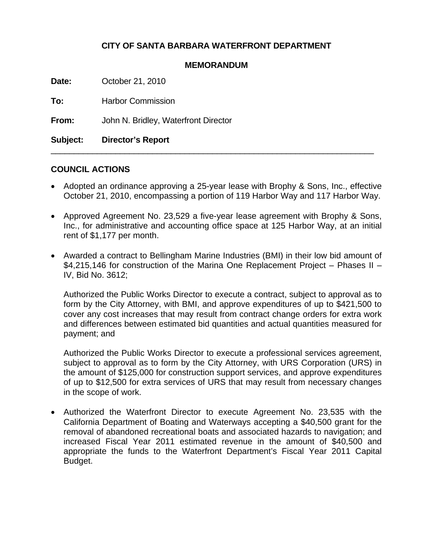# **CITY OF SANTA BARBARA WATERFRONT DEPARTMENT**

#### **MEMORANDUM**

**Date:** October 21, 2010

**To:** Harbor Commission

**From:** John N. Bridley, Waterfront Director

**Subject: Director's Report** 

### **COUNCIL ACTIONS**

• Adopted an ordinance approving a 25-year lease with Brophy & Sons, Inc., effective October 21, 2010, encompassing a portion of 119 Harbor Way and 117 Harbor Way.

 $\_$  , and the set of the set of the set of the set of the set of the set of the set of the set of the set of the set of the set of the set of the set of the set of the set of the set of the set of the set of the set of th

- Approved Agreement No. 23,529 a five-year lease agreement with Brophy & Sons, Inc., for administrative and accounting office space at 125 Harbor Way, at an initial rent of \$1,177 per month.
- Awarded a contract to Bellingham Marine Industries (BMI) in their low bid amount of \$4,215,146 for construction of the Marina One Replacement Project – Phases II – IV, Bid No. 3612;

Authorized the Public Works Director to execute a contract, subject to approval as to form by the City Attorney, with BMI, and approve expenditures of up to \$421,500 to cover any cost increases that may result from contract change orders for extra work and differences between estimated bid quantities and actual quantities measured for payment; and

Authorized the Public Works Director to execute a professional services agreement, subject to approval as to form by the City Attorney, with URS Corporation (URS) in the amount of \$125,000 for construction support services, and approve expenditures of up to \$12,500 for extra services of URS that may result from necessary changes in the scope of work.

• Authorized the Waterfront Director to execute Agreement No. 23,535 with the California Department of Boating and Waterways accepting a \$40,500 grant for the removal of abandoned recreational boats and associated hazards to navigation; and increased Fiscal Year 2011 estimated revenue in the amount of \$40,500 and appropriate the funds to the Waterfront Department's Fiscal Year 2011 Capital Budget.